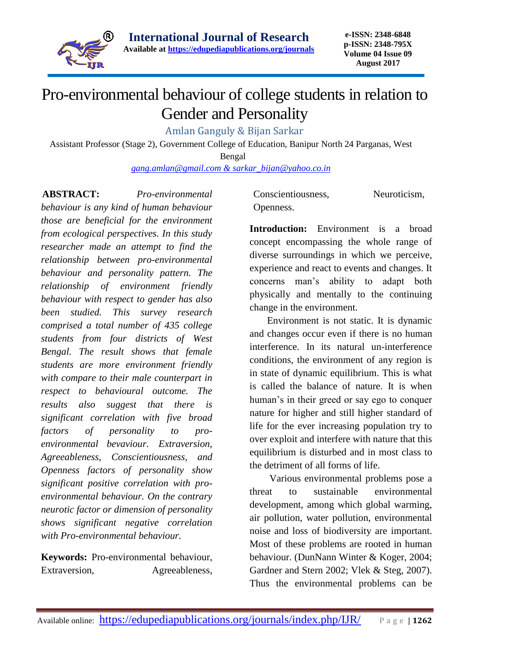

## Pro-environmental behaviour of college students in relation to Gender and Personality

Amlan Ganguly & Bijan Sarkar

Assistant Professor (Stage 2), Government College of Education, Banipur North 24 Parganas, West

Bengal

*[gang.amlan@gmail.com](mailto:gang.amlan@gmail.com) & [sarkar\\_bijan@yahoo.co.in](mailto:sarkar_bijan@yahoo.co.in)*

**ABSTRACT:** *Pro-environmental behaviour is any kind of human behaviour those are beneficial for the environment from ecological perspectives. In this study researcher made an attempt to find the relationship between pro-environmental behaviour and personality pattern. The relationship of environment friendly behaviour with respect to gender has also been studied. This survey research comprised a total number of 435 college students from four districts of West Bengal. The result shows that female students are more environment friendly with compare to their male counterpart in respect to behavioural outcome. The results also suggest that there is significant correlation with five broad factors of personality to proenvironmental bevaviour. Extraversion, Agreeableness, Conscientiousness, and Openness factors of personality show significant positive correlation with proenvironmental behaviour. On the contrary neurotic factor or dimension of personality shows significant negative correlation with Pro-environmental behaviour.*

**Keywords:** Pro-environmental behaviour, Extraversion, Agreeableness, Conscientiousness, Neuroticism, Openness.

**Introduction:** Environment is a broad concept encompassing the whole range of diverse surroundings in which we perceive, experience and react to events and changes. It concerns man's ability to adapt both physically and mentally to the continuing change in the environment.

 Environment is not static. It is dynamic and changes occur even if there is no human interference. In its natural un-interference conditions, the environment of any region is in state of dynamic equilibrium. This is what is called the balance of nature. It is when human's in their greed or say ego to conquer nature for higher and still higher standard of life for the ever increasing population try to over exploit and interfere with nature that this equilibrium is disturbed and in most class to the detriment of all forms of life.

 Various environmental problems pose a threat to sustainable environmental development, among which global warming, air pollution, water pollution, environmental noise and loss of biodiversity are important. Most of these problems are rooted in human behaviour. (DunNann Winter & Koger, 2004; Gardner and Stern 2002; Vlek & Steg, 2007). Thus the environmental problems can be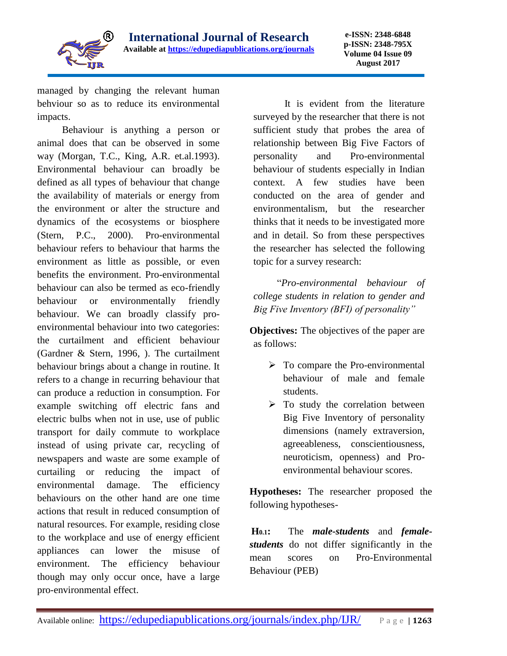

managed by changing the relevant human behviour so as to reduce its environmental impacts.

 Behaviour is anything a person or animal does that can be observed in some way (Morgan, T.C., King, A.R. et.al.1993). Environmental behaviour can broadly be defined as all types of behaviour that change the availability of materials or energy from the environment or alter the structure and dynamics of the ecosystems or biosphere (Stern, P.C., 2000). Pro-environmental behaviour refers to behaviour that harms the environment as little as possible, or even benefits the environment. Pro-environmental behaviour can also be termed as eco-friendly behaviour or environmentally friendly behaviour. We can broadly classify proenvironmental behaviour into two categories: the curtailment and efficient behaviour (Gardner & Stern, 1996, ). The curtailment behaviour brings about a change in routine. It refers to a change in recurring behaviour that can produce a reduction in consumption. For example switching off electric fans and electric bulbs when not in use, use of public transport for daily commute to workplace instead of using private car, recycling of newspapers and waste are some example of curtailing or reducing the impact of environmental damage. The efficiency behaviours on the other hand are one time actions that result in reduced consumption of natural resources. For example, residing close to the workplace and use of energy efficient appliances can lower the misuse of environment. The efficiency behaviour though may only occur once, have a large pro-environmental effect.

 It is evident from the literature surveyed by the researcher that there is not sufficient study that probes the area of relationship between Big Five Factors of personality and Pro-environmental behaviour of students especially in Indian context. A few studies have been conducted on the area of gender and environmentalism, but the researcher thinks that it needs to be investigated more and in detail. So from these perspectives the researcher has selected the following topic for a survey research:

 "*Pro-environmental behaviour of college students in relation to gender and Big Five Inventory (BFI) of personality"*

**Objectives:** The objectives of the paper are as follows:

- $\triangleright$  To compare the Pro-environmental behaviour of male and female students.
- $\triangleright$  To study the correlation between Big Five Inventory of personality dimensions (namely extraversion, agreeableness, conscientiousness, neuroticism, openness) and Proenvironmental behaviour scores.

**Hypotheses:** The researcher proposed the following hypotheses-

**H0.1:** The *male-students* and *femalestudents* do not differ significantly in the mean scores on Pro-Environmental Behaviour (PEB)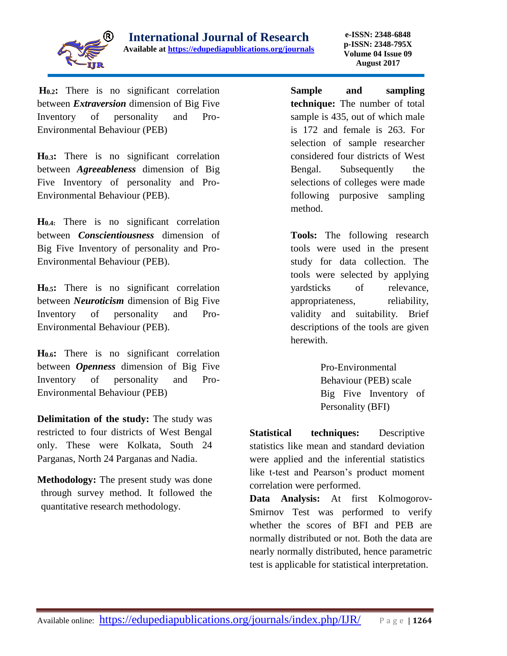

**H0.2:** There is no significant correlation between *Extraversion* dimension of Big Five Inventory of personality and Pro-Environmental Behaviour (PEB)

**H0.3:** There is no significant correlation between *Agreeableness* dimension of Big Five Inventory of personality and Pro-Environmental Behaviour (PEB).

**H0.4:** There is no significant correlation between *Conscientiousness* dimension of Big Five Inventory of personality and Pro-Environmental Behaviour (PEB).

**H0.5:** There is no significant correlation between *Neuroticism* dimension of Big Five Inventory of personality and Pro-Environmental Behaviour (PEB).

**H0.6:** There is no significant correlation between *Openness* dimension of Big Five Inventory of personality and Pro-Environmental Behaviour (PEB)

**Delimitation of the study:** The study was restricted to four districts of West Bengal only. These were Kolkata, South 24 Parganas, North 24 Parganas and Nadia.

**Methodology:** The present study was done through survey method. It followed the quantitative research methodology.

**Sample and sampling technique:** The number of total sample is 435, out of which male is 172 and female is 263. For selection of sample researcher considered four districts of West Bengal. Subsequently the selections of colleges were made following purposive sampling method.

**Tools:** The following research tools were used in the present study for data collection. The tools were selected by applying yardsticks of relevance, appropriateness, reliability, validity and suitability. Brief descriptions of the tools are given herewith.

> Pro-Environmental Behaviour (PEB) scale Big Five Inventory of Personality (BFI)

**Statistical techniques:** Descriptive statistics like mean and standard deviation were applied and the inferential statistics like t-test and Pearson's product moment correlation were performed.

**Data Analysis:** At first Kolmogorov-Smirnov Test was performed to verify whether the scores of BFI and PEB are normally distributed or not. Both the data are nearly normally distributed, hence parametric test is applicable for statistical interpretation.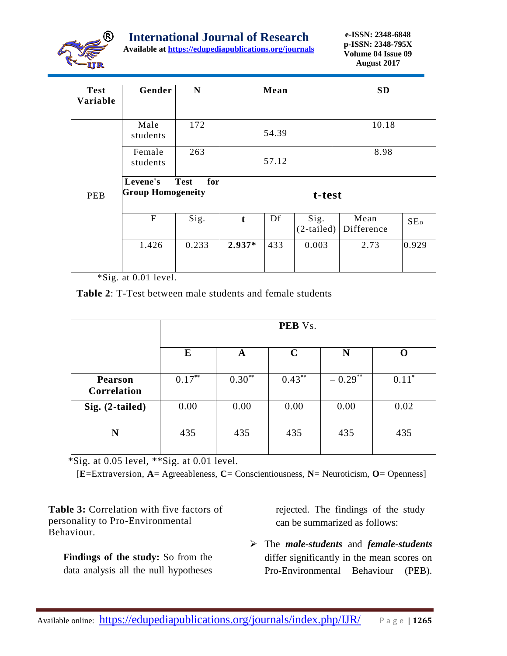

**Available at<https://edupediapublications.org/journals>**

| <b>Test</b><br>Variable | Gender                                                     | $\mathbf N$ | Mean     |     |                      | <b>SD</b>          |                 |  |
|-------------------------|------------------------------------------------------------|-------------|----------|-----|----------------------|--------------------|-----------------|--|
|                         | Male<br>students                                           | 172         | 54.39    |     |                      | 10.18              |                 |  |
|                         | Female<br>students                                         | 263         | 57.12    |     |                      | 8.98               |                 |  |
| <b>PEB</b>              | for<br><b>Test</b><br>Levene's<br><b>Group Homogeneity</b> |             | t-test   |     |                      |                    |                 |  |
|                         | $\mathbf{F}$                                               | Sig.        | t        | Df  | Sig.<br>$(2-tailed)$ | Mean<br>Difference | SE <sub>D</sub> |  |
|                         | 1.426                                                      | 0.233       | $2.937*$ | 433 | 0.003                | 2.73               | 0.929           |  |

\*Sig. at 0.01 level.

**Table 2**: T-Test between male students and female students

|                               | PEB Vs.   |          |             |         |         |  |  |  |  |
|-------------------------------|-----------|----------|-------------|---------|---------|--|--|--|--|
|                               | E         | A        | $\mathbf C$ | N       | O       |  |  |  |  |
| <b>Pearson</b><br>Correlation | $0.17***$ | $0.30**$ | $0.43***$   | $-0.29$ | $0.11*$ |  |  |  |  |
| Sig. (2-tailed)               | 0.00      | 0.00     | 0.00        | 0.00    | 0.02    |  |  |  |  |
| N                             | 435       | 435      | 435         | 435     | 435     |  |  |  |  |

\*Sig. at 0.05 level, \*\*Sig. at 0.01 level.

[**E**=Extraversion, **A**= Agreeableness, **C**= Conscientiousness, **N**= Neuroticism, **O**= Openness]

**Table 3:** Correlation with five factors of personality to Pro-Environmental Behaviour.

**Findings of the study:** So from the data analysis all the null hypotheses

rejected. The findings of the study can be summarized as follows:

 The *male-students* and *female-students* differ significantly in the mean scores on Pro-Environmental Behaviour (PEB).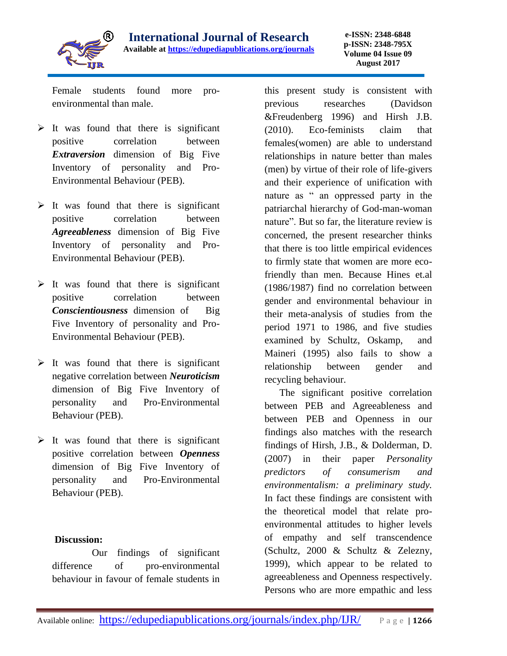

**e-ISSN: 2348-6848 p-ISSN: 2348-795X Volume 04 Issue 09 August 2017**

Female students found more proenvironmental than male.

- $\triangleright$  It was found that there is significant positive correlation between *Extraversion* dimension of Big Five Inventory of personality and Pro-Environmental Behaviour (PEB).
- $\triangleright$  It was found that there is significant positive correlation between *Agreeableness* dimension of Big Five Inventory of personality and Pro-Environmental Behaviour (PEB).
- $\triangleright$  It was found that there is significant positive correlation between *Conscientiousness* dimension of Big Five Inventory of personality and Pro-Environmental Behaviour (PEB).
- $\triangleright$  It was found that there is significant negative correlation between *Neuroticism*  dimension of Big Five Inventory of personality and Pro-Environmental Behaviour (PEB).
- $\triangleright$  It was found that there is significant positive correlation between *Openness* dimension of Big Five Inventory of personality and Pro-Environmental Behaviour (PEB).

## **Discussion:**

 Our findings of significant difference of pro-environmental behaviour in favour of female students in this present study is consistent with previous researches (Davidson &Freudenberg 1996) and Hirsh J.B. (2010). Eco-feminists claim that females(women) are able to understand relationships in nature better than males (men) by virtue of their role of life-givers and their experience of unification with nature as " an oppressed party in the patriarchal hierarchy of God-man-woman nature". But so far, the literature review is concerned, the present researcher thinks that there is too little empirical evidences to firmly state that women are more ecofriendly than men. Because Hines et.al (1986/1987) find no correlation between gender and environmental behaviour in their meta-analysis of studies from the period 1971 to 1986, and five studies examined by Schultz, Oskamp, and Maineri (1995) also fails to show a relationship between gender and recycling behaviour.

 The significant positive correlation between PEB and Agreeableness and between PEB and Openness in our findings also matches with the research findings of Hirsh, J.B., & Dolderman, D. (2007) in their paper *Personality predictors of consumerism and environmentalism: a preliminary study.* In fact these findings are consistent with the theoretical model that relate proenvironmental attitudes to higher levels of empathy and self transcendence (Schultz, 2000 & Schultz & Zelezny, 1999), which appear to be related to agreeableness and Openness respectively. Persons who are more empathic and less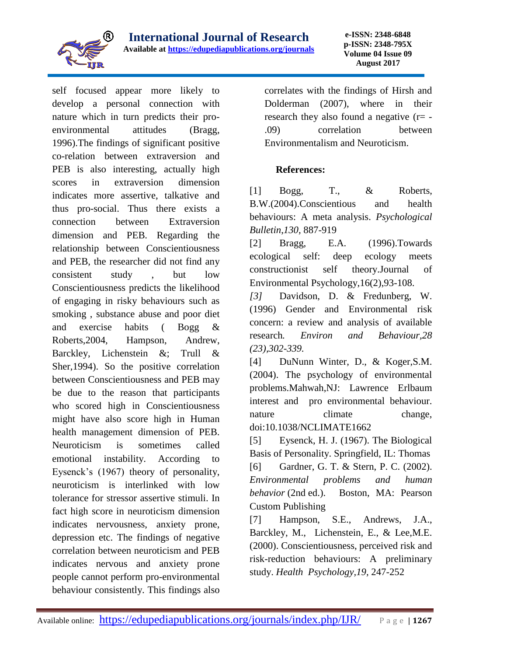

self focused appear more likely to develop a personal connection with nature which in turn predicts their proenvironmental attitudes (Bragg, 1996).The findings of significant positive co-relation between extraversion and PEB is also interesting, actually high scores in extraversion dimension indicates more assertive, talkative and thus pro-social. Thus there exists a connection between Extraversion dimension and PEB. Regarding the relationship between Conscientiousness and PEB, the researcher did not find any consistent study , but low Conscientiousness predicts the likelihood of engaging in risky behaviours such as smoking , substance abuse and poor diet and exercise habits ( Bogg & Roberts,2004, Hampson, Andrew, Barckley, Lichenstein &; Trull & Sher,1994). So the positive correlation between Conscientiousness and PEB may be due to the reason that participants who scored high in Conscientiousness might have also score high in Human health management dimension of PEB. Neuroticism is sometimes called emotional instability. According to Eysenck's (1967) theory of personality, neuroticism is interlinked with low tolerance for stressor assertive stimuli. In fact high score in neuroticism dimension indicates nervousness, anxiety prone, depression etc. The findings of negative correlation between neuroticism and PEB indicates nervous and anxiety prone people cannot perform pro-environmental behaviour consistently. This findings also

correlates with the findings of Hirsh and Dolderman (2007), where in their research they also found a negative  $(r= -$ .09) correlation between Environmentalism and Neuroticism.

## **References:**

[1] Bogg, T., & Roberts, B.W.(2004).Conscientious and health behaviours: A meta analysis. *Psychological Bulletin*,*130,* 887-919

[2] Bragg, E.A. (1996).Towards ecological self: deep ecology meets constructionist self theory.Journal of Environmental Psychology,16(2),93-108.

*[3]* Davidson, D. & Fredunberg, W. (1996) Gender and Environmental risk concern: a review and analysis of available research*. Environ and Behaviour,28 (23),302-339.*

[4] DuNunn Winter, D., & Koger, S.M. (2004). The psychology of environmental problems.Mahwah,NJ: Lawrence Erlbaum interest and pro environmental behaviour. nature climate change, doi:10.1038/NCLIMATE1662

[5] Eysenck, H. J. (1967). The Biological Basis of Personality. Springfield, IL: Thomas [6] Gardner, G. T. & Stern, P. C. (2002). *Environmental problems and human behavior* (2nd ed.). Boston, MA: Pearson Custom Publishing

[7] Hampson, S.E., Andrews, J.A., Barckley, M., Lichenstein, E., & Lee,M.E. (2000). Conscientiousness, perceived risk and risk-reduction behaviours: A preliminary study. *Health Psychology,19,* 247-252